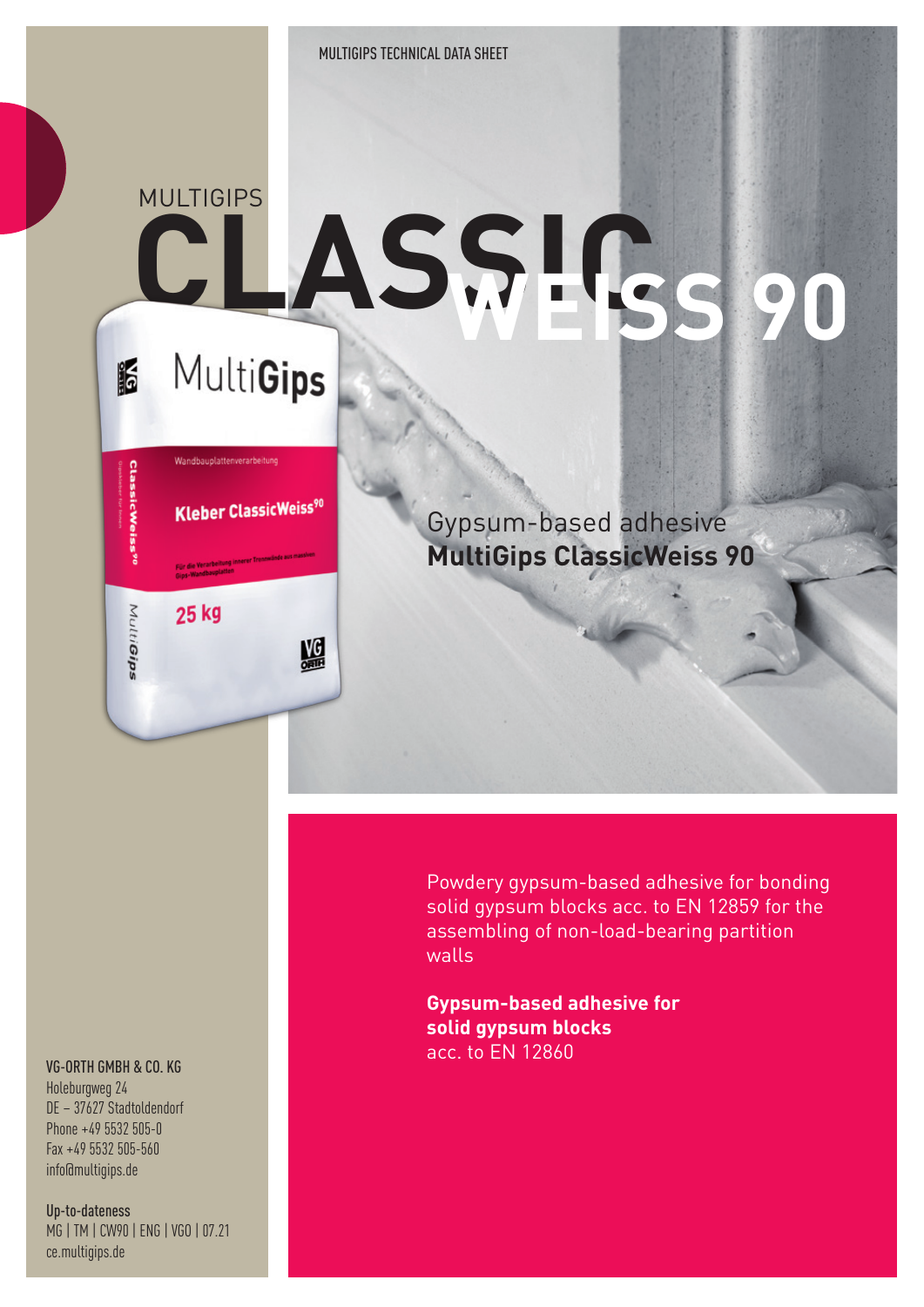## **MULTIGIPS CLASSIC WEISS 90 MultiGips i**

# Wandbauplattenverarbeitung **ClassicWeiss<sup>90</sup> Kleber ClassicWeiss90** 25 kg MultiGips 盟

Gypsum-based adhesive **MultiGips ClassicWeiss 90**

Powdery gypsum-based adhesive for bonding solid gypsum blocks acc. to EN 12859 for the assembling of non-load-bearing partition walls

**Gypsum-based adhesive for solid gypsum blocks** acc. to EN 12860

#### VG-ORTH GMBH & CO. KG

Holeburgweg 24 DE – 37627 Stadtoldendorf Phone +49 5532 505-0 Fax +49 5532 505-560 info@multigips.de

Up-to-dateness MG | TM | CW90 | ENG | VGO | 07.21 ce.multigips.de